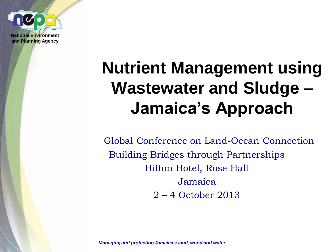

#### **Nutrient Management using Wastewater and Sludge – Jamaica's Approach**

Global Conference on Land-Ocean Connection Building Bridges through Partnerships Hilton Hotel, Rose Hall Jamaica 2 – 4 October 2013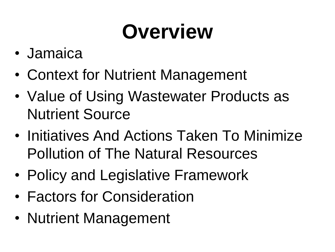## **Overview**

- Jamaica
- Context for Nutrient Management
- Value of Using Wastewater Products as Nutrient Source
- Initiatives And Actions Taken To Minimize Pollution of The Natural Resources
- Policy and Legislative Framework
- Factors for Consideration
- Nutrient Management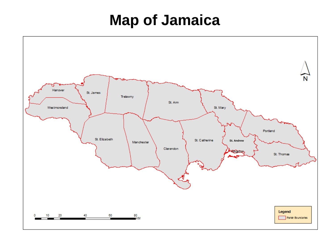#### **Map of Jamaica**

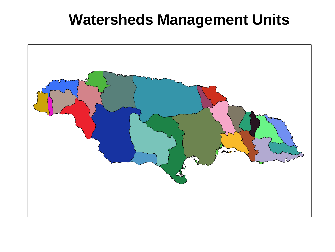#### **Watersheds Management Units**

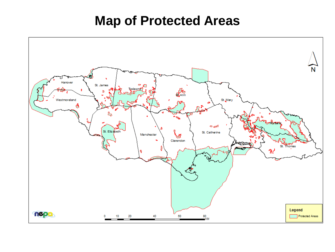#### **Map of Protected Areas**

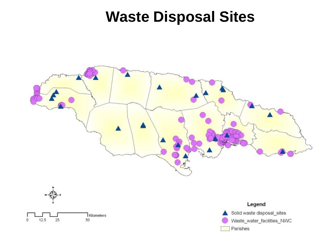#### **Waste Disposal Sites**





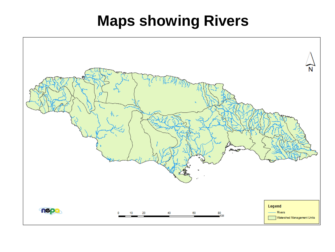#### **Maps showing Rivers**

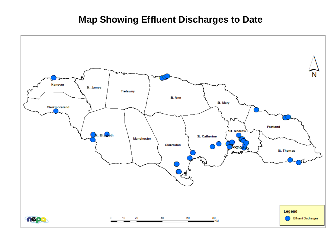#### **Map Showing Effluent Discharges to Date**

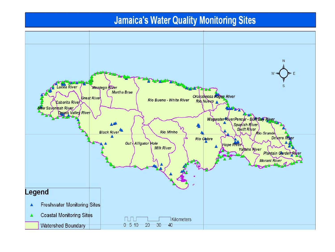#### **Jamaica's Water Quality Monitoring Sites**

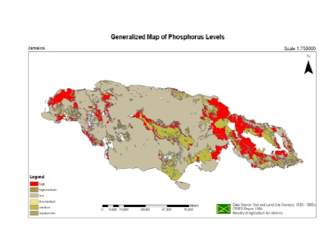#### Generalized Map of Phosphorus Levels



Jamaica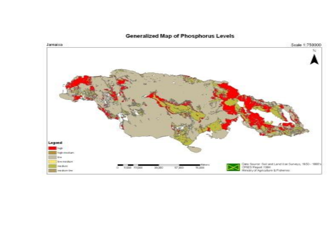

#### Generalized Map of Phosphorus Levels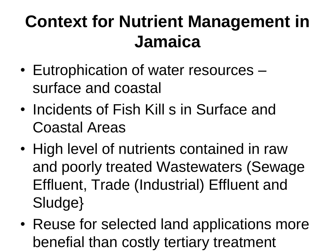#### **Context for Nutrient Management in Jamaica**

- Eutrophication of water resources surface and coastal
- Incidents of Fish Kill s in Surface and Coastal Areas
- High level of nutrients contained in raw and poorly treated Wastewaters (Sewage Effluent, Trade (Industrial) Effluent and Sludge}
- Reuse for selected land applications more benefial than costly tertiary treatment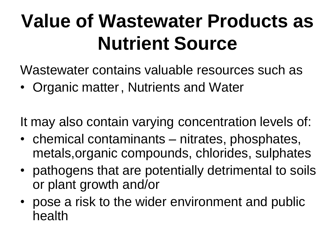#### **Value of Wastewater Products as Nutrient Source**

Wastewater contains valuable resources such as

• Organic matter, Nutrients and Water

It may also contain varying concentration levels of:

- chemical contaminants nitrates, phosphates, metals,organic compounds, chlorides, sulphates
- pathogens that are potentially detrimental to soils or plant growth and/or
- pose a risk to the wider environment and public health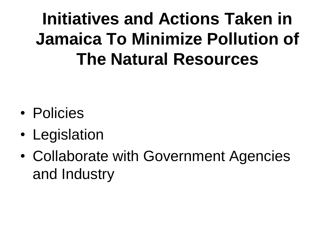#### **Initiatives and Actions Taken in Jamaica To Minimize Pollution of The Natural Resources**

- Policies
- Legislation
- Collaborate with Government Agencies and Industry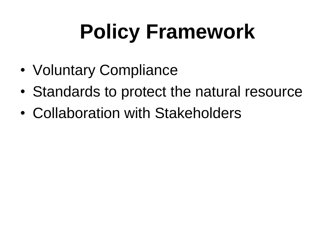# **Policy Framework**

- Voluntary Compliance
- Standards to protect the natural resource
- Collaboration with Stakeholders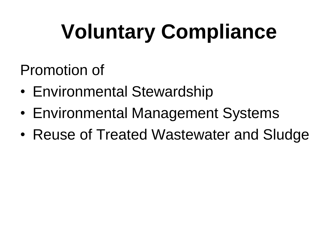# **Voluntary Compliance**

Promotion of

- Environmental Stewardship
- Environmental Management Systems
- Reuse of Treated Wastewater and Sludge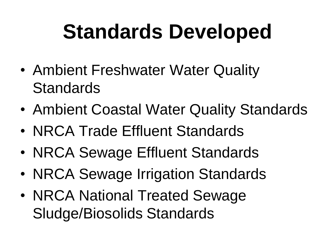#### **Standards Developed**

- Ambient Freshwater Water Quality **Standards**
- Ambient Coastal Water Quality Standards
- NRCA Trade Effluent Standards
- NRCA Sewage Effluent Standards
- NRCA Sewage Irrigation Standards
- NRCA National Treated Sewage Sludge/Biosolids Standards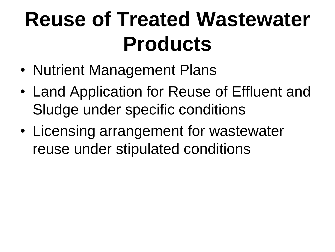#### **Reuse of Treated Wastewater Products**

- Nutrient Management Plans
- Land Application for Reuse of Effluent and Sludge under specific conditions
- Licensing arrangement for wastewater reuse under stipulated conditions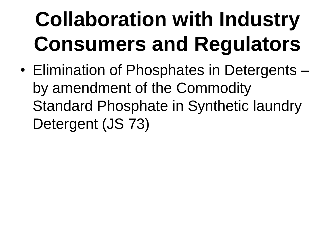# **Collaboration with Industry Consumers and Regulators**

• Elimination of Phosphates in Detergents – by amendment of the Commodity Standard Phosphate in Synthetic laundry Detergent (JS 73)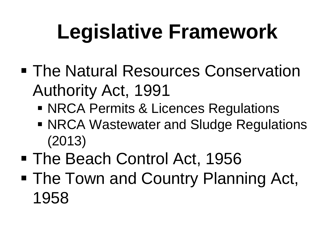## **Legislative Framework**

- **The Natural Resources Conservation** Authority Act, 1991
	- **NRCA Permits & Licences Regulations**
	- **NRCA Wastewater and Sludge Regulations** (2013)
- The Beach Control Act, 1956
- The Town and Country Planning Act, 1958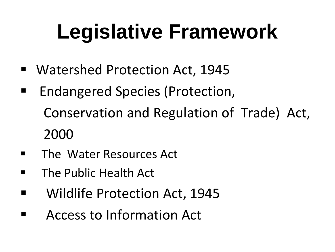## **Legislative Framework**

- Watershed Protection Act, 1945
- Endangered Species (Protection, Conservation and Regulation of Trade) Act, 2000
- **The Water Resources Act**
- **The Public Health Act**
- **Number 1945** Wildlife Protection Act, 1945
- Access to Information Act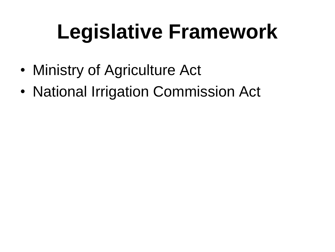## **Legislative Framework**

- Ministry of Agriculture Act
- National Irrigation Commission Act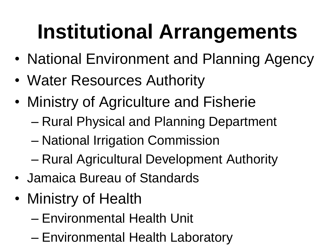## **Institutional Arrangements**

- National Environment and Planning Agency
- Water Resources Authority
- Ministry of Agriculture and Fisherie
	- Rural Physical and Planning Department
	- National Irrigation Commission
	- Rural Agricultural Development Authority
- Jamaica Bureau of Standards
- Ministry of Health
	- Environmental Health Unit
	- Environmental Health Laboratory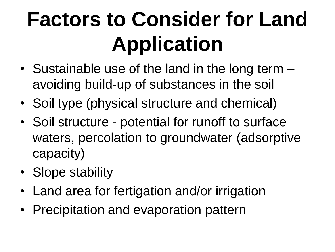## **Factors to Consider for Land Application**

- Sustainable use of the land in the long term avoiding build-up of substances in the soil
- Soil type (physical structure and chemical)
- Soil structure potential for runoff to surface waters, percolation to groundwater (adsorptive capacity)
- Slope stability
- Land area for fertigation and/or irrigation
- Precipitation and evaporation pattern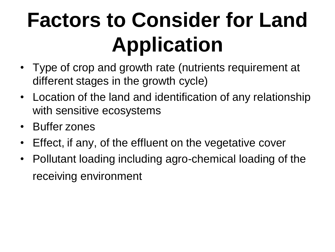## **Factors to Consider for Land Application**

- Type of crop and growth rate (nutrients requirement at different stages in the growth cycle)
- Location of the land and identification of any relationship with sensitive ecosystems
- Buffer zones
- Effect, if any, of the effluent on the vegetative cover
- Pollutant loading including agro-chemical loading of the receiving environment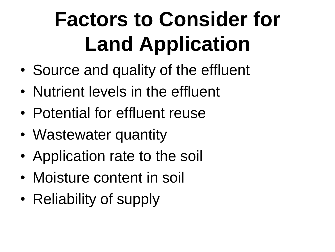## **Factors to Consider for Land Application**

- Source and quality of the effluent
- Nutrient levels in the effluent
- Potential for effluent reuse
- Wastewater quantity
- Application rate to the soil
- Moisture content in soil
- Reliability of supply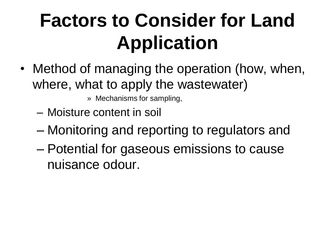#### **Factors to Consider for Land Application**

- Method of managing the operation (how, when, where, what to apply the wastewater)
	- » Mechanisms for sampling,
	- Moisture content in soil
	- Monitoring and reporting to regulators and
	- Potential for gaseous emissions to cause nuisance odour.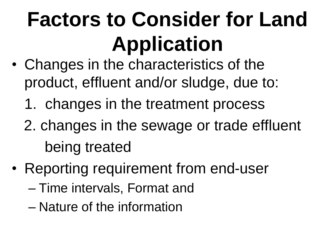## **Factors to Consider for Land Application**

- Changes in the characteristics of the product, effluent and/or sludge, due to:
	- 1. changes in the treatment process
	- 2. changes in the sewage or trade effluent being treated
- Reporting requirement from end-user
	- Time intervals, Format and
	- Nature of the information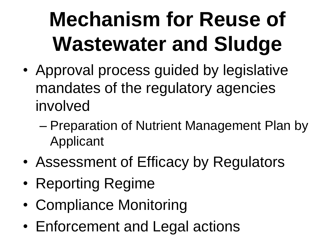## **Mechanism for Reuse of Wastewater and Sludge**

- Approval process guided by legislative mandates of the regulatory agencies involved
	- Preparation of Nutrient Management Plan by Applicant
- Assessment of Efficacy by Regulators
- Reporting Regime
- Compliance Monitoring
- Enforcement and Legal actions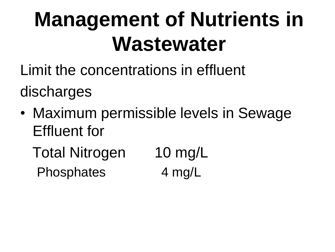#### **Management of Nutrients in Wastewater**

Limit the concentrations in effluent

discharges

- Maximum permissible levels in Sewage Effluent for
	- Total Nitrogen 10 mg/L Phosphates 4 mg/L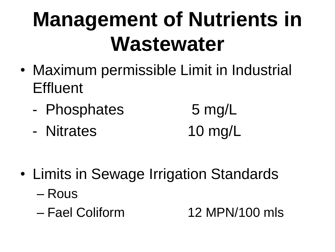#### **Management of Nutrients in Wastewater**

- Maximum permissible Limit in Industrial **Effluent** 
	- Phosphates 5 mg/L
	- Nitrates 10 mg/L
- Limits in Sewage Irrigation Standards
	- Rous
	-

– Fael Coliform 12 MPN/100 mls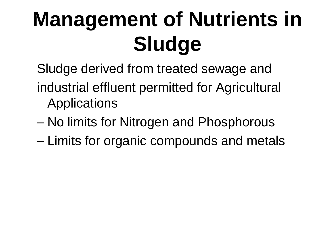## **Management of Nutrients in Sludge**

- Sludge derived from treated sewage and
- industrial effluent permitted for Agricultural Applications
- No limits for Nitrogen and Phosphorous
- Limits for organic compounds and metals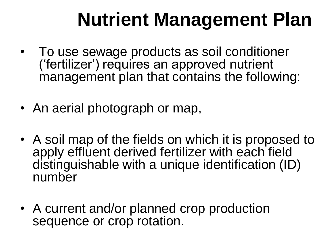#### **Nutrient Management Plan**

- To use sewage products as soil conditioner ('fertilizer') requires an approved nutrient management plan that contains the following:
- An aerial photograph or map,
- A soil map of the fields on which it is proposed to apply effluent derived fertilizer with each field distinguishable with a unique identification (ID) number
- A current and/or planned crop production sequence or crop rotation.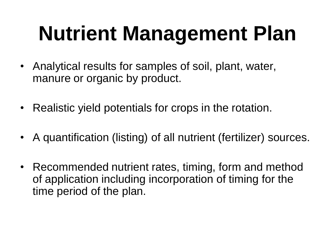## **Nutrient Management Plan**

- Analytical results for samples of soil, plant, water, manure or organic by product.
- Realistic yield potentials for crops in the rotation.
- A quantification (listing) of all nutrient (fertilizer) sources.
- Recommended nutrient rates, timing, form and method of application including incorporation of timing for the time period of the plan.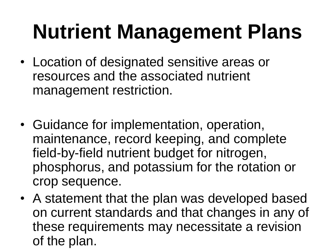#### **Nutrient Management Plans**

- Location of designated sensitive areas or resources and the associated nutrient management restriction.
- Guidance for implementation, operation, maintenance, record keeping, and complete field-by-field nutrient budget for nitrogen, phosphorus, and potassium for the rotation or crop sequence.
- A statement that the plan was developed based on current standards and that changes in any of these requirements may necessitate a revision of the plan.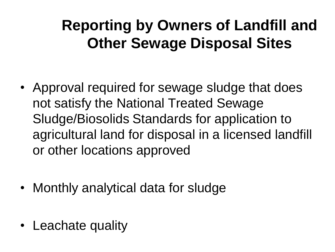#### **Reporting by Owners of Landfill and Other Sewage Disposal Sites**

- Approval required for sewage sludge that does not satisfy the National Treated Sewage Sludge/Biosolids Standards for application to agricultural land for disposal in a licensed landfill or other locations approved
- Monthly analytical data for sludge
- Leachate quality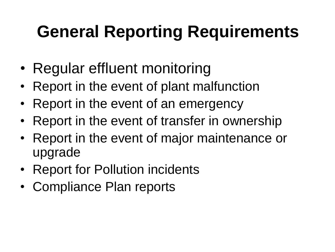#### **General Reporting Requirements**

- Regular effluent monitoring
- Report in the event of plant malfunction
- Report in the event of an emergency
- Report in the event of transfer in ownership
- Report in the event of major maintenance or upgrade
- Report for Pollution incidents
- Compliance Plan reports